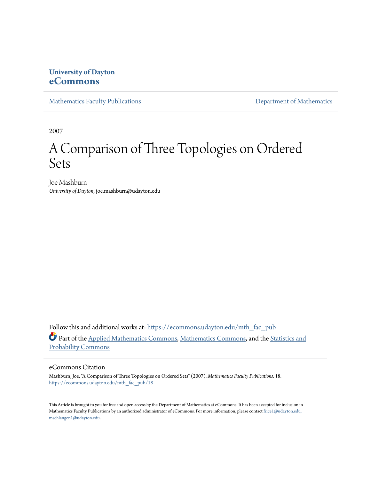# **University of Dayton [eCommons](https://ecommons.udayton.edu?utm_source=ecommons.udayton.edu%2Fmth_fac_pub%2F18&utm_medium=PDF&utm_campaign=PDFCoverPages)**

[Mathematics Faculty Publications](https://ecommons.udayton.edu/mth_fac_pub?utm_source=ecommons.udayton.edu%2Fmth_fac_pub%2F18&utm_medium=PDF&utm_campaign=PDFCoverPages) **[Department of Mathematics](https://ecommons.udayton.edu/mth?utm_source=ecommons.udayton.edu%2Fmth_fac_pub%2F18&utm_medium=PDF&utm_campaign=PDFCoverPages)** 

2007

# A Comparison of Three Topologies on Ordered Sets

Joe Mashburn *University of Dayton*, joe.mashburn@udayton.edu

Follow this and additional works at: [https://ecommons.udayton.edu/mth\\_fac\\_pub](https://ecommons.udayton.edu/mth_fac_pub?utm_source=ecommons.udayton.edu%2Fmth_fac_pub%2F18&utm_medium=PDF&utm_campaign=PDFCoverPages) Part of the [Applied Mathematics Commons](http://network.bepress.com/hgg/discipline/115?utm_source=ecommons.udayton.edu%2Fmth_fac_pub%2F18&utm_medium=PDF&utm_campaign=PDFCoverPages), [Mathematics Commons,](http://network.bepress.com/hgg/discipline/174?utm_source=ecommons.udayton.edu%2Fmth_fac_pub%2F18&utm_medium=PDF&utm_campaign=PDFCoverPages) and the [Statistics and](http://network.bepress.com/hgg/discipline/208?utm_source=ecommons.udayton.edu%2Fmth_fac_pub%2F18&utm_medium=PDF&utm_campaign=PDFCoverPages) [Probability Commons](http://network.bepress.com/hgg/discipline/208?utm_source=ecommons.udayton.edu%2Fmth_fac_pub%2F18&utm_medium=PDF&utm_campaign=PDFCoverPages)

# eCommons Citation

Mashburn, Joe, "A Comparison of Three Topologies on Ordered Sets" (2007). *Mathematics Faculty Publications*. 18. [https://ecommons.udayton.edu/mth\\_fac\\_pub/18](https://ecommons.udayton.edu/mth_fac_pub/18?utm_source=ecommons.udayton.edu%2Fmth_fac_pub%2F18&utm_medium=PDF&utm_campaign=PDFCoverPages)

This Article is brought to you for free and open access by the Department of Mathematics at eCommons. It has been accepted for inclusion in Mathematics Faculty Publications by an authorized administrator of eCommons. For more information, please contact [frice1@udayton.edu,](mailto:frice1@udayton.edu,%20mschlangen1@udayton.edu) [mschlangen1@udayton.edu.](mailto:frice1@udayton.edu,%20mschlangen1@udayton.edu)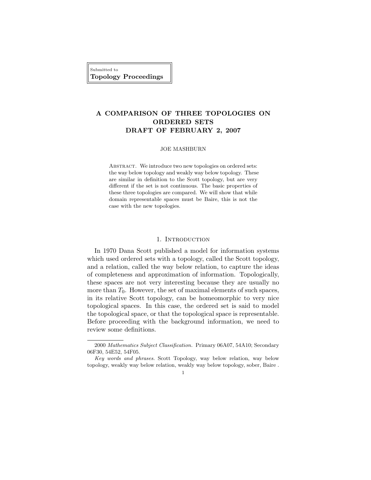Submitted to Topology Proceedings

# A COMPARISON OF THREE TOPOLOGIES ON ORDERED SETS DRAFT OF FEBRUARY 2, 2007

#### JOE MASHBURN

ABSTRACT. We introduce two new topologies on ordered sets: the way below topology and weakly way below topology. These are similar in definition to the Scott topology, but are very different if the set is not continuous. The basic properties of these three topologies are compared. We will show that while domain representable spaces must be Baire, this is not the case with the new topologies.

#### 1. INTRODUCTION

In 1970 Dana Scott published a model for information systems which used ordered sets with a topology, called the Scott topology, and a relation, called the way below relation, to capture the ideas of completeness and approximation of information. Topologically, these spaces are not very interesting because they are usually no more than  $T_0$ . However, the set of maximal elements of such spaces, in its relative Scott topology, can be homeomorphic to very nice topological spaces. In this case, the ordered set is said to model the topological space, or that the topological space is representable. Before proceeding with the background information, we need to review some definitions.

Key words and phrases. Scott Topology, way below relation, way below topology, weakly way below relation, weakly way below topology, sober, Baire .



<sup>2000</sup> Mathematics Subject Classification. Primary 06A07, 54A10; Secondary 06F30, 54E52, 54F05.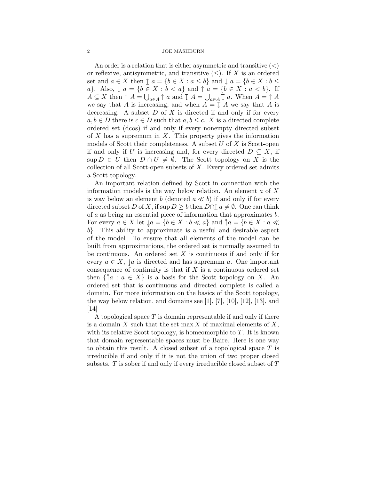#### 2 JOE MASHBURN

An order is a relation that is either asymmetric and transitive  $\left\langle \epsilon \right\rangle$ or reflexive, antisymmetric, and transitive  $(\le)$ . If X is an ordered set and  $a \in X$  then  $\uparrow a = \{b \in X : a \leq b\}$  and  $\downarrow a = \{b \in X : b \leq x\}$ a}. Also,  $\downarrow$   $a = \{b \in X : b < a\}$  and  $\uparrow$   $a = \{b \in X : a < b\}$ . If  $A \subseteq X$  then  $\uparrow A = \bigcup_{a \in A} \uparrow a$  and  $\downarrow A = \bigcup_{a \in A} \downarrow a$ . When  $A = \uparrow A$ we say that A is increasing, and when  $A = \mathcal{I}$  A we say that A is decreasing. A subset  $D$  of  $X$  is directed if and only if for every  $a, b \in D$  there is  $c \in D$  such that  $a, b \leq c$ . X is a directed complete ordered set (dcos) if and only if every nonempty directed subset of  $X$  has a supremum in  $X$ . This property gives the information models of Scott their completeness. A subset  $U$  of  $X$  is Scott-open if and only if U is increasing and, for every directed  $D \subseteq X$ , if  $\sup D \in U$  then  $D \cap U \neq \emptyset$ . The Scott topology on X is the collection of all Scott-open subsets of  $X$ . Every ordered set admits a Scott topology.

An important relation defined by Scott in connection with the information models is the way below relation. An element  $a$  of  $X$ is way below an element b (denoted  $a \ll b$ ) if and only if for every directed subset D of X, if sup  $D \geq b$  then  $D \cap \mathbf{1}$   $a \neq \emptyset$ . One can think of a as being an essential piece of information that approximates b. For every  $a \in X$  let  $\downarrow a = \{b \in X : b \ll a\}$  and  $\uparrow a = \{b \in X : a \ll a\}$ b}. This ability to approximate is a useful and desirable aspect of the model. To ensure that all elements of the model can be built from approximations, the ordered set is normally assumed to be continuous. An ordered set  $X$  is continuous if and only if for every  $a \in X$ ,  $\downarrow a$  is directed and has supremum a. One important consequence of continuity is that if  $X$  is a continuous ordered set then  $\{\uparrow a : a \in X\}$  is a basis for the Scott topology on X. An ordered set that is continuous and directed complete is called a domain. For more information on the basics of the Scott topology, the way below relation, and domains see  $[1]$ ,  $[7]$ ,  $[10]$ ,  $[12]$ ,  $[13]$ , and [14]

A topological space  $T$  is domain representable if and only if there is a domain X such that the set max X of maximal elements of  $X$ , with its relative Scott topology, is homeomorphic to  $T$ . It is known that domain representable spaces must be Baire. Here is one way to obtain this result. A closed subset of a topological space  $T$  is irreducible if and only if it is not the union of two proper closed subsets. T is sober if and only if every irreducible closed subset of T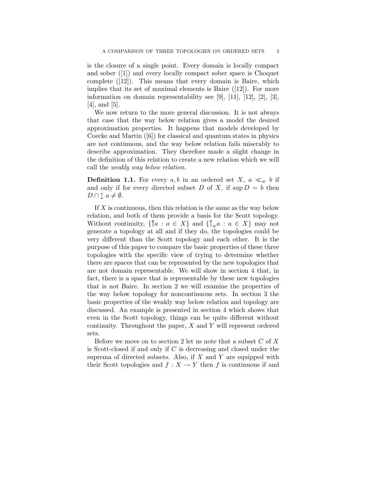is the closure of a single point. Every domain is locally compact and sober ([1]) and every locally compact sober space is Choquet complete ([12]). This means that every domain is Baire, which implies that its set of maximal elements is Baire ([12]). For more information on domain representability see [9], [11], [12], [2], [3], [4], and [5].

We now return to the more general discussion. It is not always that case that the way below relation gives a model the desired approximation properties. It happens that models developed by Coecke and Martin ([6]) for classical and quantum states in physics are not continuous, and the way below relation fails miserably to describe approximation. They therefore made a slight change in the definition of this relation to create a new relation which we will call the weakly way below relation.

**Definition 1.1.** For every  $a, b$  in an ordered set X,  $a \ll_w b$  if and only if for every directed subset D of X, if  $\sup D = b$  then  $D \cap \mathbf{1} \, a \neq \emptyset.$ 

If X is continuous, then this relation is the same as the way below relation, and both of them provide a basis for the Scott topology. Without continuity,  $\{\uparrow a : a \in X\}$  and  $\{\uparrow_w a : a \in X\}$  may not generate a topology at all and if they do, the topologies could be very different than the Scott topology and each other. It is the purpose of this paper to compare the basic properties of these three topologies with the specific view of trying to determine whether there are spaces that can be represented by the new topologies that are not domain representable. We will show in section 4 that, in fact, there is a space that is representable by these new topologies that is not Baire. In section 2 we will examine the properties of the way below topology for noncontinuous sets. In section 3 the basic properties of the weakly way below relation and topology are discussed. An example is presented in section 4 which shows that even in the Scott topology, things can be quite different without continuity. Throughout the paper, X and Y will represent ordered sets.

Before we move on to section 2 let us note that a subset  $C$  of  $X$ is Scott-closed if and only if  $C$  is decreasing and closed under the suprema of directed subsets. Also, if  $X$  and  $Y$  are equipped with their Scott topologies and  $f : X \to Y$  then f is continuous if and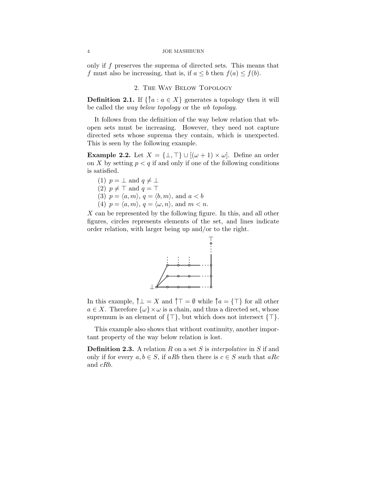#### 4 JOE MASHBURN

only if f preserves the suprema of directed sets. This means that f must also be increasing, that is, if  $a \leq b$  then  $f(a) \leq f(b)$ .

#### 2. The Way Below Topology

**Definition 2.1.** If  $\{\uparrow a : a \in X\}$  generates a topology then it will be called the way below topology or the wb topology.

It follows from the definition of the way below relation that wbopen sets must be increasing. However, they need not capture directed sets whose suprema they contain, which is unexpected. This is seen by the following example.

**Example 2.2.** Let  $X = \{\perp, \top\} \cup \left[ (\omega + 1) \times \omega \right]$ . Define an order on X by setting  $p < q$  if and only if one of the following conditions is satisfied.

- (1)  $p = \perp$  and  $q \neq \perp$
- (2)  $p \neq \top$  and  $q = \top$
- (3)  $p = \langle a, m \rangle, q = \langle b, m \rangle,$  and  $a < b$
- (4)  $p = \langle a, m \rangle, q = \langle \omega, n \rangle, \text{ and } m < n.$

 $X$  can be represented by the following figure. In this, and all other figures, circles represents elements of the set, and lines indicate order relation, with larger being up and/or to the right.



In this example,  $\uparrow \bot = X$  and  $\uparrow \top = \emptyset$  while  $\uparrow a = {\top}$  for all other  $a \in X$ . Therefore  $\{\omega\} \times \omega$  is a chain, and thus a directed set, whose supremum is an element of  $\{\top\}$ , but which does not intersect  $\{\top\}$ .

This example also shows that without continuity, another important property of the way below relation is lost.

**Definition 2.3.** A relation R on a set S is *interpolative* in S if and only if for every  $a, b \in S$ , if aRb then there is  $c \in S$  such that aRc and cRb.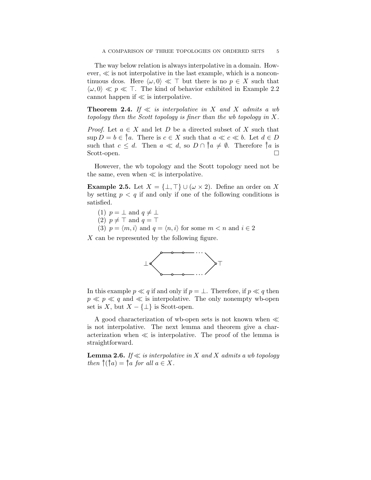The way below relation is always interpolative in a domain. However, ≪ is not interpolative in the last example, which is a noncontinuous dcos. Here  $\langle \omega, 0 \rangle \ll \top$  but there is no  $p \in X$  such that  $\langle \omega, 0 \rangle \ll p \ll \top$ . The kind of behavior exhibited in Example 2.2 cannot happen if  $\ll$  is interpolative.

**Theorem 2.4.** If  $\ll$  is interpolative in X and X admits a wb topology then the Scott topology is finer than the wb topology in  $X$ .

*Proof.* Let  $a \in X$  and let D be a directed subset of X such that  $\sup D = b \in \mathbb{S}^a$ . There is  $c \in X$  such that  $a \ll c \ll b$ . Let  $d \in D$ such that  $c \leq d$ . Then  $a \ll d$ , so  $D \cap \hat{a} \neq \emptyset$ . Therefore  $\hat{a}$  is Scott-open.

However, the wb topology and the Scott topology need not be the same, even when  $\ll$  is interpolative.

**Example 2.5.** Let  $X = \{\perp, \top\} \cup (\omega \times 2)$ . Define an order on X by setting  $p < q$  if and only if one of the following conditions is satisfied.

- (1)  $p = \perp$  and  $q \neq \perp$
- (2)  $p \neq \top$  and  $q = \top$
- (3)  $p = \langle m, i \rangle$  and  $q = \langle n, i \rangle$  for some  $m < n$  and  $i \in 2$

X can be represented by the following figure.



In this example  $p \ll q$  if and only if  $p = \perp$ . Therefore, if  $p \ll q$  then  $p \ll p \ll q$  and  $\ll$  is interpolative. The only nonempty wb-open set is  $X$ , but  $X - \{\perp\}$  is Scott-open.

A good characterization of wb-open sets is not known when ≪ is not interpolative. The next lemma and theorem give a characterization when  $\ll$  is interpolative. The proof of the lemma is straightforward.

**Lemma 2.6.** If  $\ll$  is interpolative in X and X admits a wb topology then  $\hat{\uparrow}(\hat{\uparrow}a) = \hat{\uparrow}a$  for all  $a \in X$ .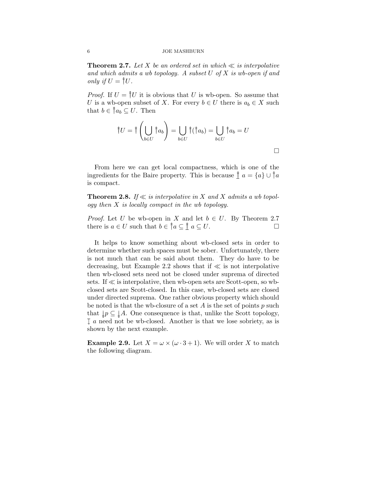**Theorem 2.7.** Let X be an ordered set in which  $\ll$  is interpolative and which admits a wb topology. A subset  $U$  of  $X$  is wb-open if and only if  $U = \uparrow U$ .

*Proof.* If  $U = \frac{2}{V}U$  it is obvious that U is wb-open. So assume that U is a wb-open subset of X. For every  $b \in U$  there is  $a_b \in X$  such that  $b \in \uparrow a_b \subseteq U$ . Then

$$
\uparrow U = \uparrow \left(\bigcup_{b \in U} \uparrow a_b\right) = \bigcup_{b \in U} \uparrow (\uparrow a_b) = \bigcup_{b \in U} \uparrow a_b = U
$$

From here we can get local compactness, which is one of the ingredients for the Baire property. This is because  $\int a = \{a\} \cup \hat{a}$ is compact.

**Theorem 2.8.** If  $\ll$  is interpolative in X and X admits a wb topology then  $X$  is locally compact in the wb topology.

*Proof.* Let U be wb-open in X and let  $b \in U$ . By Theorem 2.7 there is  $a \in U$  such that  $b \in \hat{a} \subseteq \hat{a} \subseteq U$ .

It helps to know something about wb-closed sets in order to determine whether such spaces must be sober. Unfortunately, there is not much that can be said about them. They do have to be decreasing, but Example 2.2 shows that if  $\ll$  is not interpolative then wb-closed sets need not be closed under suprema of directed sets. If  $\ll$  is interpolative, then wb-open sets are Scott-open, so wbclosed sets are Scott-closed. In this case, wb-closed sets are closed under directed suprema. One rather obvious property which should be noted is that the wb-closure of a set  $A$  is the set of points  $p$  such that  $\downarrow p \subseteq \downarrow A$ . One consequence is that, unlike the Scott topology,  $I_a$  need not be wb-closed. Another is that we lose sobriety, as is shown by the next example.

**Example 2.9.** Let  $X = \omega \times (\omega \cdot 3 + 1)$ . We will order X to match the following diagram.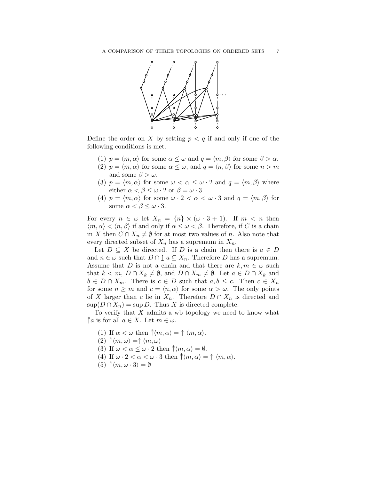

Define the order on X by setting  $p < q$  if and only if one of the following conditions is met.

- (1)  $p = \langle m, \alpha \rangle$  for some  $\alpha \leq \omega$  and  $q = \langle m, \beta \rangle$  for some  $\beta > \alpha$ .
- (2)  $p = \langle m, \alpha \rangle$  for some  $\alpha \leq \omega$ , and  $q = \langle n, \beta \rangle$  for some  $n > m$ and some  $\beta > \omega$ .
- (3)  $p = \langle m, \alpha \rangle$  for some  $\omega < \alpha \leq \omega \cdot 2$  and  $q = \langle m, \beta \rangle$  where either  $\alpha < \beta \leq \omega \cdot 2$  or  $\beta = \omega \cdot 3$ .
- (4)  $p = \langle m, \alpha \rangle$  for some  $\omega \cdot 2 < \alpha < \omega \cdot 3$  and  $q = \langle m, \beta \rangle$  for some  $\alpha < \beta \leq \omega \cdot 3$ .

For every  $n \in \omega$  let  $X_n = \{n\} \times (\omega \cdot 3 + 1)$ . If  $m < n$  then  $\langle m, \alpha \rangle < \langle n, \beta \rangle$  if and only if  $\alpha \leq \omega < \beta$ . Therefore, if C is a chain in X then  $C \cap X_n \neq \emptyset$  for at most two values of n. Also note that every directed subset of  $X_n$  has a supremum in  $X_n$ .

Let  $D \subseteq X$  be directed. If D is a chain then there is  $a \in D$ and  $n \in \omega$  such that  $D \cap \underline{\uparrow} a \subseteq X_n$ . Therefore D has a supremum. Assume that D is not a chain and that there are  $k, m \in \omega$  such that  $k < m$ ,  $D \cap X_k \neq \emptyset$ , and  $D \cap X_m \neq \emptyset$ . Let  $a \in D \cap X_k$  and  $b \in D \cap X_m$ . There is  $c \in D$  such that  $a, b \leq c$ . Then  $c \in X_n$ for some  $n \geq m$  and  $c = \langle n, \alpha \rangle$  for some  $\alpha > \omega$ . The only points of X larger than c lie in  $X_n$ . Therefore  $D \cap X_n$  is directed and  $\sup(D \cap X_n) = \sup D$ . Thus X is directed complete.

To verify that  $X$  admits a wb topology we need to know what  $\hat{a}$  is for all  $a \in X$ . Let  $m \in \omega$ .

- (1) If  $\alpha < \omega$  then  $\hat{\uparrow} \langle m, \alpha \rangle = \hat{\perp} \langle m, \alpha \rangle$ .
- $(2) \uparrow \langle m, \omega \rangle = \uparrow \langle m, \omega \rangle$
- (3) If  $\omega < \alpha \leq \omega \cdot 2$  then  $\hat{\uparrow} \langle m, \alpha \rangle = \emptyset$ .
- (4) If  $\omega \cdot 2 < \alpha < \omega \cdot 3$  then  $\hat{\uparrow} \langle m, \alpha \rangle = \hat{\downarrow} \langle m, \alpha \rangle$ .
- (5)  $\uparrow\langle m, \omega \cdot 3 \rangle = \emptyset$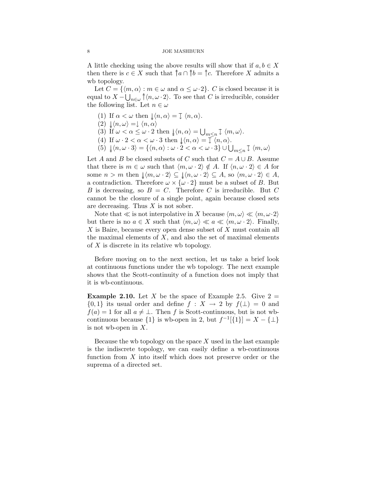A little checking using the above results will show that if  $a, b \in X$ then there is  $c \in X$  such that  $\hat{a} \cap \hat{b} = \hat{c}$ . Therefore X admits a wb topology.

Let  $C = \{ \langle m, \alpha \rangle : m \in \omega \text{ and } \alpha \leq \omega \cdot 2 \}.$  C is closed because it is equal to  $X - \bigcup_{n \in \omega} \hat{d}(n, \omega \cdot 2)$ . To see that C is irreducible, consider the following list. Let  $n \in \omega$ 

- (1) If  $\alpha < \omega$  then  $\downarrow \langle n, \alpha \rangle = \downarrow \langle n, \alpha \rangle$ .
- $(2) \downarrow \langle n, \omega \rangle = \downarrow \langle n, \alpha \rangle$
- (3) If  $\omega < \alpha \leq \omega \cdot 2$  then  $\downarrow \langle n, \alpha \rangle = \bigcup_{m \leq n} \downarrow \langle m, \omega \rangle$ .
- (4) If  $\omega \cdot 2 < \alpha < \omega \cdot 3$  then  $\downarrow \langle n, \alpha \rangle = \overline{\downarrow} \langle n, \alpha \rangle$ .
- (5)  $\downarrow \langle n, \omega \cdot 3 \rangle = \{ \langle n, \alpha \rangle : \omega \cdot 2 < \alpha < \omega \cdot 3 \} \cup \bigcup_{m \leq n} \downarrow \langle m, \omega \rangle$

Let A and B be closed subsets of C such that  $C = A \cup B$ . Assume that there is  $m \in \omega$  such that  $\langle m, \omega \cdot 2 \rangle \notin A$ . If  $\langle n, \omega \cdot 2 \rangle \in A$  for some  $n > m$  then  $\downarrow \langle m, \omega \cdot 2 \rangle \subseteq \downarrow \langle n, \omega \cdot 2 \rangle \subseteq A$ , so  $\langle m, \omega \cdot 2 \rangle \in A$ , a contradiction. Therefore  $\omega \times {\omega \cdot 2}$  must be a subset of B. But B is decreasing, so  $B = C$ . Therefore C is irreducible. But C cannot be the closure of a single point, again because closed sets are decreasing. Thus  $X$  is not sober.

Note that  $\ll$  is not interpolative in X because  $\langle m, \omega \rangle \ll \langle m, \omega \cdot 2 \rangle$ but there is no  $a \in X$  such that  $\langle m, \omega \rangle \ll a \ll \langle m, \omega \cdot 2 \rangle$ . Finally, X is Baire, because every open dense subset of X must contain all the maximal elements of  $X$ , and also the set of maximal elements of  $X$  is discrete in its relative wb topology.

Before moving on to the next section, let us take a brief look at continuous functions under the wb topology. The next example shows that the Scott-continuity of a function does not imply that it is wb-continuous.

**Example 2.10.** Let X be the space of Example 2.5. Give  $2 =$  $\{0,1\}$  its usual order and define  $f: X \rightarrow 2$  by  $f(\perp) = 0$  and  $f(a) = 1$  for all  $a \neq \perp$ . Then f is Scott-continuous, but is not wbcontinuous because  $\{1\}$  is wb-open in 2, but  $f^{-1}[\{1\}] = X - {\{\perp\}}$ is not wb-open in  $X$ .

Because the wb topology on the space  $X$  used in the last example is the indiscrete topology, we can easily define a wb-continuous function from  $X$  into itself which does not preserve order or the suprema of a directed set.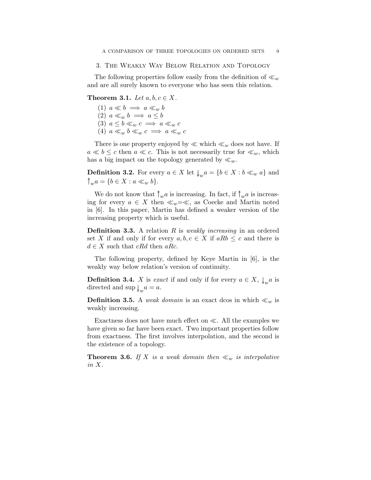#### 3. The Weakly Way Below Relation and Topology

The following properties follow easily from the definition of  $\ll_w$ and are all surely known to everyone who has seen this relation.

# Theorem 3.1. Let  $a, b, c \in X$ .

(1)  $a \ll b \implies a \ll_w b$ (2)  $a \ll_w b \implies a \leq b$ (3)  $a \leq b \ll_w c \implies a \ll_w c$ (4)  $a \ll_w b \ll_w c \implies a \ll_w c$ 

There is one property enjoyed by  $\ll$  which  $\ll_w$  does not have. If  $a \ll b \leq c$  then  $a \ll c$ . This is not necessarily true for  $\ll_w$ , which has a big impact on the topology generated by  $\ll_w$ .

**Definition 3.2.** For every  $a \in X$  let  $\downarrow_w a = \{b \in X : b \ll_w a\}$  and  $\hat{a}_{w} = \{b \in X : a \ll_{w} b\}.$ 

We do not know that  $\uparrow_w a$  is increasing. In fact, if  $\uparrow_w a$  is increasing for every  $a \in X$  then  $\ll_w = \ll$ , as Coecke and Martin noted in [6]. In this paper, Martin has defined a weaker version of the increasing property which is useful.

**Definition 3.3.** A relation R is *weakly increasing* in an ordered set X if and only if for every  $a, b, c \in X$  if  $aRb \leq c$  and there is  $d \in X$  such that cRd then aRc.

The following property, defined by Keye Martin in [6], is the weakly way below relation's version of continuity.

**Definition 3.4.** X is exact if and only if for every  $a \in X$ ,  $\downarrow_w a$  is directed and  $\sup \downarrow_w a = a$ .

**Definition 3.5.** A weak domain is an exact dcos in which  $\ll_w$  is weakly increasing.

Exactness does not have much effect on  $\ll$ . All the examples we have given so far have been exact. Two important properties follow from exactness. The first involves interpolation, and the second is the existence of a topology.

**Theorem 3.6.** If X is a weak domain then  $\ll_w$  is interpolative in X.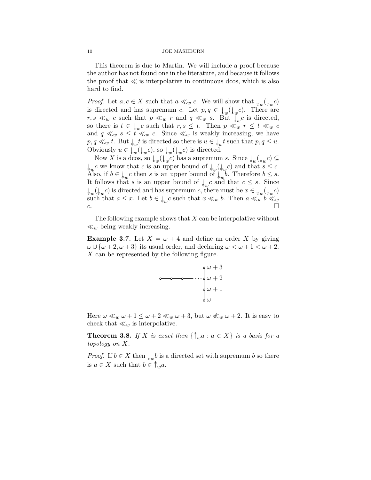#### 10 JOE MASHBURN

This theorem is due to Martin. We will include a proof because the author has not found one in the literature, and because it follows the proof that  $\ll$  is interpolative in continuous dcos, which is also hard to find.

*Proof.* Let  $a, c \in X$  such that  $a \ll_w c$ . We will show that  $\downarrow_w (\downarrow_w c)$ is directed and has supremum c. Let  $p, q \in \downarrow_w(\downarrow_w c)$ . There are  $r, s \ll_w c$  such that  $p \ll_w r$  and  $q \ll_w s$ . But  $\downarrow_w c$  is directed, so there is  $t \in \downarrow_w c$  such that  $r, s \leq t$ . Then  $p \ll_w r \leq t \ll_w c$ and  $q \ll_w s \leq t \ll_w c$ . Since  $\ll_w$  is weakly increasing, we have  $p, q \ll_w t$ . But  $\downarrow_w t$  is directed so there is  $u \in \downarrow_w t$  such that  $p, q \leq u$ . Obviously  $u \in \downarrow_w(\downarrow_w c)$ , so  $\downarrow_w(\downarrow_w c)$  is directed.

Now X is a dcos, so  $\downarrow_w(\downarrow_w c)$  has a supremum s. Since  $\downarrow_w(\downarrow_w c) \subseteq$  $\downarrow_w c$  we know that c is an upper bound of  $\downarrow_w (\downarrow_w c)$  and that  $s \leq c$ . Also, if  $b \in \downarrow_w c$  then s is an upper bound of  $\downarrow_w b$ . Therefore  $b \leq s$ . It follows that s is an upper bound of  $\downarrow_w c$  and that  $c \leq s$ . Since  $\downarrow_w(\downarrow_w c)$  is directed and has supremum c, there must be  $x \in \downarrow_w(\downarrow_w c)$ such that  $a \leq x$ . Let  $b \in \bigcup_{w} c$  such that  $x \ll_w b$ . Then  $a \ll_w b \ll_w$ c.  $\Box$ 

The following example shows that  $X$  can be interpolative without  $\ll_w$  being weakly increasing.

**Example 3.7.** Let  $X = \omega + 4$  and define an order X by giving  $\omega \cup {\omega + 2, \omega + 3}$  its usual order, and declaring  $\omega < \omega + 1 < \omega + 2$ . X can be represented by the following figure.



Here  $\omega \ll_w \omega + 1 \leq \omega + 2 \ll_w \omega + 3$ , but  $\omega \not\ll_w \omega + 2$ . It is easy to check that  $\ll_w$  is interpolative.

**Theorem 3.8.** If X is exact then  $\{\uparrow_w a : a \in X\}$  is a basis for a topology on X.

*Proof.* If  $b \in X$  then  $\downarrow_w b$  is a directed set with supremum b so there is  $a \in X$  such that  $b \in \hat{w}_u$ .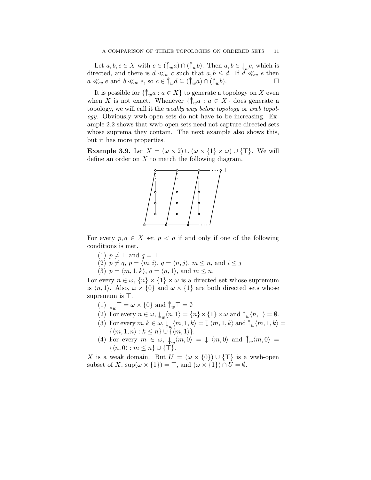Let  $a, b, c \in X$  with  $c \in (\uparrow_w a) \cap (\uparrow_w b)$ . Then  $a, b \in \downarrow_w c$ , which is directed, and there is  $d \ll_w c$  such that  $a, b \leq d$ . If  $d \ll_w e$  then  $a \ll_w e$  and  $b \ll_w e$ , so  $c \in \hat{\uparrow}_w d \subseteq (\hat{\uparrow}_w a) \cap (\hat{\uparrow}_w b)$ .

It is possible for  $\{\uparrow_w a : a \in X\}$  to generate a topology on X even when X is not exact. Whenever  $\{\uparrow_w a : a \in X\}$  does generate a topology, we will call it the *weakly way below topology* or *wwb topol*ogy. Obviously wwb-open sets do not have to be increasing. Example 2.2 shows that wwb-open sets need not capture directed sets whose suprema they contain. The next example also shows this, but it has more properties.

**Example 3.9.** Let  $X = (\omega \times 2) \cup (\omega \times \{1\} \times \omega) \cup \{\top\}$ . We will define an order on  $X$  to match the following diagram.



For every  $p, q \in X$  set  $p < q$  if and only if one of the following conditions is met.

- (1)  $p \neq \top$  and  $q = \top$
- (2)  $p \neq q$ ,  $p = \langle m, i \rangle$ ,  $q = \langle n, j \rangle$ ,  $m \leq n$ , and  $i \leq j$
- (3)  $p = \langle m, 1, k \rangle$ ,  $q = \langle n, 1 \rangle$ , and  $m \leq n$ .

For every  $n \in \omega$ ,  $\{n\} \times \{1\} \times \omega$  is a directed set whose supremum is  $\langle n, 1 \rangle$ . Also,  $\omega \times \{0\}$  and  $\omega \times \{1\}$  are both directed sets whose supremum is ⊤.

- (1)  $\downarrow_w \top = \omega \times \{0\}$  and  $\uparrow_w \top = \emptyset$
- (2) For every  $n \in \omega$ ,  $\downarrow_w \langle n, 1 \rangle = \{n\} \times \{1\} \times \omega$  and  $\uparrow_w \langle n, 1 \rangle = \emptyset$ .
- (3) For every  $m, k \in \omega$ ,  $\downarrow_w \langle m, 1, k \rangle = \downarrow \langle m, 1, k \rangle$  and  $\uparrow_w \langle m, 1, k \rangle =$  $\{\langle m, 1, n \rangle : k \leq n\} \cup \tilde{\{\langle m, 1 \rangle\}}.$
- (4) For every  $m \in \omega$ ,  $\downarrow_w \langle m, 0 \rangle = \downarrow \langle m, 0 \rangle$  and  $\uparrow_w \langle m, 0 \rangle =$  $\{\langle n, 0 \rangle : m \leq n\} \cup \{\top\}.$

X is a weak domain. But  $U = (\omega \times \{0\}) \cup \{\top\}$  is a wwb-open subset of X, sup $(\omega \times \{1\}) = \top$ , and  $(\omega \times \{1\}) \cap U = \emptyset$ .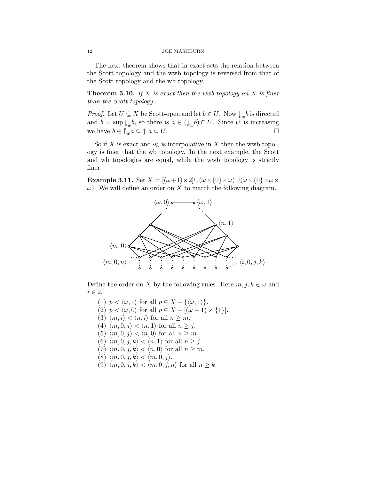The next theorem shows that in exact sets the relation between the Scott topology and the wwb topology is reversed from that of the Scott topology and the wb topology.

**Theorem 3.10.** If X is exact then the wwb topology on X is finer than the Scott topology.

*Proof.* Let  $U \subseteq X$  be Scott-open and let  $b \in U$ . Now  $\downarrow_w b$  is directed and  $b = \sup \downarrow_w b$ , so there is  $a \in (\downarrow_w b) \cap U$ . Since U is increasing we have  $b \in \uparrow_w a \subseteq \uparrow a \subseteq U$ .

So if X is exact and  $\ll$  is interpolative in X then the wwb topology is finer that the wb topology. In the next example, the Scott and wb topologies are equal, while the wwb topology is strictly finer.

**Example 3.11.** Set  $X = [(\omega+1) \times 2] \cup (\omega \times \{0\} \times \omega) \cup (\omega \times \{0\} \times \omega \times$  $\omega$ ). We will define an order on X to match the following diagram.



Define the order on X by the following rules. Here  $m, j, k \in \omega$  and  $i \in 2$ .

(1)  $p < \langle \omega, 1 \rangle$  for all  $p \in X - {\langle \omega, 1 \rangle}.$ (2)  $p < \langle \omega, 0 \rangle$  for all  $p \in X - [(\omega + 1) \times \{1\}].$ (3)  $\langle m, i \rangle < \langle n, i \rangle$  for all  $n \geq m$ . (4)  $\langle m, 0, j \rangle < \langle n, 1 \rangle$  for all  $n \geq j$ . (5)  $\langle m, 0, j \rangle < \langle n, 0 \rangle$  for all  $n \geq m$ . (6)  $\langle m, 0, j, k \rangle < \langle n, 1 \rangle$  for all  $n \geq j$ . (7)  $\langle m, 0, j, k \rangle < \langle n, 0 \rangle$  for all  $n \geq m$ . (8)  $\langle m, 0, j, k \rangle < \langle m, 0, j \rangle$ . (9)  $\langle m, 0, j, k \rangle < \langle m, 0, j, n \rangle$  for all  $n \geq k$ .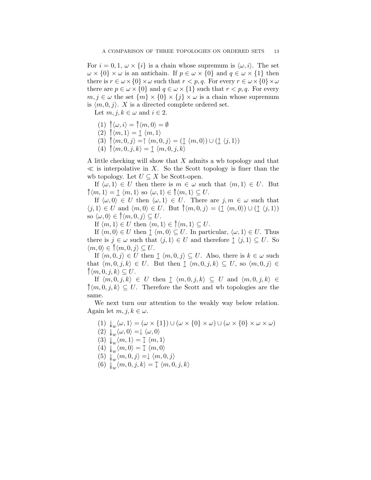For  $i = 0, 1, \omega \times \{i\}$  is a chain whose supremum is  $\langle \omega, i \rangle$ . The set  $\omega \times \{0\} \times \omega$  is an antichain. If  $p \in \omega \times \{0\}$  and  $q \in \omega \times \{1\}$  then there is  $r \in \omega \times \{0\} \times \omega$  such that  $r < p, q$ . For every  $r \in \omega \times \{0\} \times \omega$ there are  $p \in \omega \times \{0\}$  and  $q \in \omega \times \{1\}$  such that  $r < p, q$ . For every  $m, j \in \omega$  the set  $\{m\} \times \{0\} \times \{j\} \times \omega$  is a chain whose supremum is  $\langle m, 0, j \rangle$ . X is a directed complete ordered set.

Let  $m, j, k \in \omega$  and  $i \in 2$ .

- $(1) \hat{\uparrow} \langle \omega, i \rangle = \hat{\uparrow} \langle m, 0 \rangle = \emptyset$
- $(2) \uparrow \langle m, 1 \rangle = \uparrow \langle m, 1 \rangle$
- (3)  $\hat{\uparrow} \langle m, 0, j \rangle = \hat{\uparrow} \langle m, 0, j \rangle = (\hat{\uparrow} \langle m, 0 \rangle) \cup (\hat{\uparrow} \langle j, 1 \rangle)$
- $(4) \uparrow \langle m, 0, j, k \rangle = \uparrow \langle m, 0, j, k \rangle$

A little checking will show that X admits a wb topology and that  $\ll$  is interpolative in X. So the Scott topology is finer than the wb topology. Let  $U \subseteq X$  be Scott-open.

If  $\langle \omega, 1 \rangle \in U$  then there is  $m \in \omega$  such that  $\langle m, 1 \rangle \in U$ . But  $\hat{\uparrow} \langle m, 1 \rangle = \hat{\downarrow} \langle m, 1 \rangle$  so  $\langle \omega, 1 \rangle \in \hat{\uparrow} \langle m, 1 \rangle \subseteq U$ .

If  $\langle \omega, 0 \rangle \in U$  then  $\langle \omega, 1 \rangle \in U$ . There are  $j, m \in \omega$  such that  $\langle j, 1 \rangle \in U$  and  $\langle m, 0 \rangle \in U$ . But  $\hat{\uparrow} \langle m, 0, j \rangle = (\hat{\uparrow} \langle m, 0 \rangle) \cup (\hat{\uparrow} \langle j, 1 \rangle)$ so  $\langle \omega, 0 \rangle \in \hat{\uparrow} \langle m, 0, j \rangle \subseteq U$ .

If  $\langle m, 1 \rangle \in U$  then  $\langle m, 1 \rangle \in \mathcal{N}(m, 1) \subseteq U$ .

If  $\langle m, 0 \rangle \in U$  then  $\uparrow \langle m, 0 \rangle \subseteq U$ . In particular,  $\langle \omega, 1 \rangle \in U$ . Thus there is  $j \in \omega$  such that  $\langle j, 1 \rangle \in U$  and therefore  $\hat{\perp} \langle j, 1 \rangle \subseteq U$ . So  $\langle m, 0 \rangle \in \hat{\uparrow} \langle m, 0, j \rangle \subseteq U.$ 

If  $\langle m, 0, j \rangle \in U$  then  $\uparrow \langle m, 0, j \rangle \subseteq U$ . Also, there is  $k \in \omega$  such that  $\langle m, 0, j, k \rangle \in U$ . But then  $\uparrow \langle m, 0, j, k \rangle \subseteq U$ , so  $\langle m, 0, j \rangle \in$  $\mathcal{m}(m, 0, j, k) \subseteq U$ .

If  $\langle m, 0, j, k \rangle \in U$  then  $\uparrow \langle m, 0, j, k \rangle \subseteq U$  and  $\langle m, 0, j, k \rangle \in$  $\hat{\uparrow} \langle m, 0, j, k \rangle \subseteq U$ . Therefore the Scott and wb topologies are the same.

We next turn our attention to the weakly way below relation. Again let  $m, j, k \in \omega$ .

 $(1) \downarrow_w \langle \omega, 1 \rangle = (\omega \times \{1\}) \cup (\omega \times \{0\} \times \omega) \cup (\omega \times \{0\} \times \omega \times \omega)$  $(2) \downarrow_w \langle \omega, 0 \rangle = \downarrow \langle \omega, 0 \rangle$ (3)  $\downarrow_w \langle m, 1 \rangle = \mathbb{I} \langle m, 1 \rangle$  $(4) \downarrow_w \langle m, 0 \rangle = \text{I} \langle m, 0 \rangle$  $(5) \downarrow_w \langle m, 0, j \rangle = \downarrow \langle m, 0, j \rangle$ (6)  $\downarrow_w \langle m, 0, j, k \rangle = \downarrow \langle m, 0, j, k \rangle$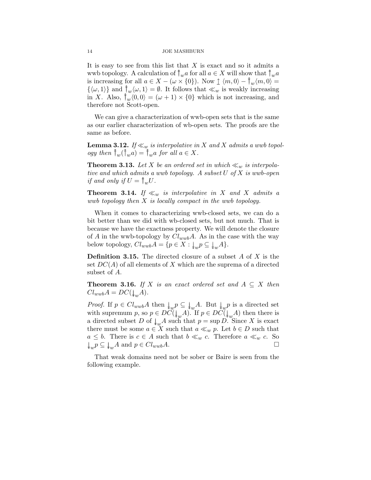It is easy to see from this list that  $X$  is exact and so it admits a wwb topology. A calculation of  $\uparrow_w a$  for all  $a \in X$  will show that  $\uparrow_w a$ is increasing for all  $a \in X - (\omega \times \{0\})$ . Now  $\uparrow \langle m, 0 \rangle - \uparrow_w \langle m, 0 \rangle =$  $\{\langle \omega, 1 \rangle\}$  and  $\uparrow_w \langle \omega, 1 \rangle = \emptyset$ . It follows that  $\ll_w$  is weakly increasing in X. Also,  $\hat{\uparrow}_w \langle 0, 0 \rangle = (\omega + 1) \times \{0\}$  which is not increasing, and therefore not Scott-open.

We can give a characterization of wwb-open sets that is the same as our earlier characterization of wb-open sets. The proofs are the same as before.

**Lemma 3.12.** If  $\ll_w$  is interpolative in X and X admits a wwb topology then  $\hat{w}(\hat{w}) = \hat{w}$  for all  $a \in X$ .

**Theorem 3.13.** Let X be an ordered set in which  $\ll_w$  is interpolative and which admits a wwb topology. A subset U of X is wwb-open if and only if  $U = \uparrow_w U$ .

**Theorem 3.14.** If  $\ll_w$  is interpolative in X and X admits a wwb topology then X is locally compact in the wwb topology.

When it comes to characterizing wwb-closed sets, we can do a bit better than we did with wb-closed sets, but not much. That is because we have the exactness property. We will denote the closure of A in the wwb-topology by  $Cl_{wwb}A$ . As in the case with the way below topology,  $Cl_{wwb}A = \{p \in X : \downarrow_w p \subseteq \downarrow_w A\}.$ 

**Definition 3.15.** The directed closure of a subset  $A$  of  $X$  is the set  $DC(A)$  of all elements of X which are the suprema of a directed subset of A.

**Theorem 3.16.** If X is an exact ordered set and  $A \subseteq X$  then  $Cl_{wwb}A = DC(\downarrow_w A).$ 

*Proof.* If  $p \in Cl_{wwb}A$  then  $\downarrow_w p \subseteq \downarrow_w A$ . But  $\downarrow_w p$  is a directed set with supremum p, so  $p \in DC(\downarrow_{w} A)$ . If  $p \in DC(\downarrow_{w} A)$  then there is a directed subset D of  $\downarrow_{w} A$  such that  $p = \sup D$ . Since X is exact there must be some  $a \in X$  such that  $a \ll_w p$ . Let  $b \in D$  such that  $a \leq b$ . There is  $c \in A$  such that  $b \ll_w c$ . Therefore  $a \ll_w c$ . So  $\downarrow_w p \subseteq \downarrow_w A$  and  $p \in Cl_{wwb}A$ .

That weak domains need not be sober or Baire is seen from the following example.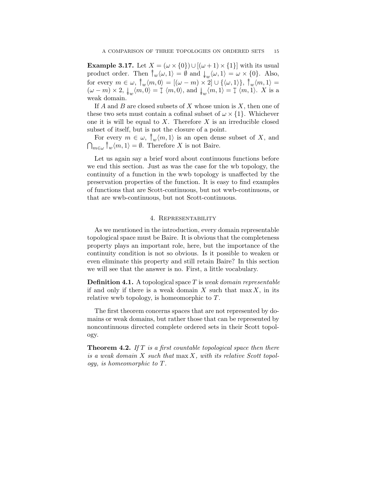**Example 3.17.** Let  $X = (\omega \times \{0\}) \cup [(\omega + 1) \times \{1\}]$  with its usual product order. Then  $\uparrow_w \langle \omega, 1 \rangle = \emptyset$  and  $\downarrow_w \langle \omega, 1 \rangle = \omega \times \{0\}$ . Also, for every  $m \in \omega$ ,  $\hat{\uparrow}_w \langle m, 0 \rangle = [(\omega - m) \times 2] \cup {\{\langle \omega, 1 \rangle\}}, \hat{\uparrow}_w \langle m, 1 \rangle =$  $(\omega - m) \times 2$ ,  $\downarrow_w \langle m, 0 \rangle = \mathbb{J} \langle m, 0 \rangle$ , and  $\downarrow_w \langle m, 1 \rangle = \mathbb{J} \langle m, 1 \rangle$ . X is a weak domain.

If A and B are closed subsets of X whose union is  $X$ , then one of these two sets must contain a cofinal subset of  $\omega \times \{1\}$ . Whichever one it is will be equal to  $X$ . Therefore  $X$  is an irreducible closed subset of itself, but is not the closure of a point.

For every  $m \in \omega$ ,  $\hat{w}_w(m, 1)$  is an open dense subset of X, and  $\bigcap_{m\in\omega}\widehat{\uparrow}_{w}\langle m,1\rangle=\emptyset$ . Therefore X is not Baire.

Let us again say a brief word about continuous functions before we end this section. Just as was the case for the wb topology, the continuity of a function in the wwb topology is unaffected by the preservation properties of the function. It is easy to find examples of functions that are Scott-continuous, but not wwb-continuous, or that are wwb-continuous, but not Scott-continuous.

### 4. Representability

As we mentioned in the introduction, every domain representable topological space must be Baire. It is obvious that the completeness property plays an important role, here, but the importance of the continuity condition is not so obvious. Is it possible to weaken or even eliminate this property and still retain Baire? In this section we will see that the answer is no. First, a little vocabulary.

**Definition 4.1.** A topological space  $T$  is weak domain representable if and only if there is a weak domain  $X$  such that max  $X$ , in its relative wwb topology, is homeomorphic to T.

The first theorem concerns spaces that are not represented by domains or weak domains, but rather those that can be represented by noncontinuous directed complete ordered sets in their Scott topology.

**Theorem 4.2.** If  $T$  is a first countable topological space then there is a weak domain  $X$  such that  $\max X$ , with its relative Scott topology, is homeomorphic to T.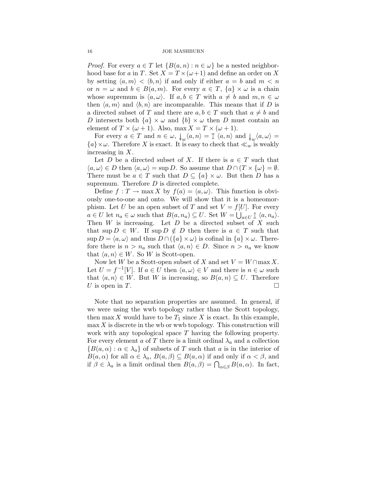*Proof.* For every  $a \in T$  let  $\{B(a, n) : n \in \omega\}$  be a nested neighborhood base for a in T. Set  $X = T \times (\omega + 1)$  and define an order on X by setting  $\langle a, m \rangle < \langle b, n \rangle$  if and only if either  $a = b$  and  $m < n$ or  $n = \omega$  and  $b \in B(a, m)$ . For every  $a \in T$ ,  $\{a\} \times \omega$  is a chain whose supremum is  $\langle a, \omega \rangle$ . If  $a, b \in T$  with  $a \neq b$  and  $m, n \in \omega$ then  $\langle a, m \rangle$  and  $\langle b, n \rangle$  are incomparable. This means that if D is a directed subset of T and there are  $a, b \in T$  such that  $a \neq b$  and D intersects both  $\{a\} \times \omega$  and  $\{b\} \times \omega$  then D must contain an element of  $T \times (\omega + 1)$ . Also, max  $X = T \times (\omega + 1)$ .

For every  $a \in T$  and  $n \in \omega$ ,  $\downarrow_w \langle a, n \rangle = \mathbb{I} \langle a, n \rangle$  and  $\downarrow_w \langle a, \omega \rangle =$  ${a} \times \omega$ . Therefore X is exact. It is easy to check that  $\ll_w$  is weakly increasing in X.

Let D be a directed subset of X. If there is  $a \in T$  such that  $\langle a, \omega \rangle \in D$  then  $\langle a, \omega \rangle = \sup D$ . So assume that  $D \cap (T \times {\omega}) = \emptyset$ . There must be  $a \in T$  such that  $D \subseteq \{a\} \times \omega$ . But then D has a supremum. Therefore  $D$  is directed complete.

Define  $f: T \to \max X$  by  $f(a) = \langle a, \omega \rangle$ . This function is obviously one-to-one and onto. We will show that it is a homeomorphism. Let U be an open subset of T and set  $V = f[U]$ . For every  $a \in U$  let  $n_a \in \omega$  such that  $B(a, n_a) \subseteq U$ . Set  $W = \bigcup_{a \in U} \mathcal{L} \langle a, n_a \rangle$ . Then  $W$  is increasing. Let  $D$  be a directed subset of  $X$  such that sup  $D \in W$ . If sup  $D \notin D$  then there is  $a \in T$  such that  $\sup D = \langle a, \omega \rangle$  and thus  $D \cap (\{a\} \times \omega)$  is cofinal in  $\{a\} \times \omega$ . Therefore there is  $n > n_a$  such that  $\langle a, n \rangle \in D$ . Since  $n > n_a$  we know that  $\langle a, n \rangle \in W$ . So W is Scott-open.

Now let W be a Scott-open subset of X and set  $V = W \cap \max X$ . Let  $U = f^{-1}[V]$ . If  $a \in U$  then  $\langle a, \omega \rangle \in V$  and there is  $n \in \omega$  such that  $\langle a, n \rangle \in W$ . But W is increasing, so  $B(a, n) \subseteq U$ . Therefore U is open in T.

Note that no separation properties are assumed. In general, if we were using the wwb topology rather than the Scott topology, then max X would have to be  $T_1$  since X is exact. In this example,  $\max X$  is discrete in the wb or wwb topology. This construction will work with any topological space  $T$  having the following property. For every element a of T there is a limit ordinal  $\lambda_a$  and a collection  ${B(a, \alpha) : \alpha \in \lambda_a}$  of subsets of T such that a is in the interior of  $B(a, \alpha)$  for all  $\alpha \in \lambda_a$ ,  $B(a, \beta) \subseteq B(a, \alpha)$  if and only if  $\alpha < \beta$ , and if  $\beta \in \lambda_a$  is a limit ordinal then  $B(a, \beta) = \bigcap_{\alpha \in \beta} B(a, \alpha)$ . In fact,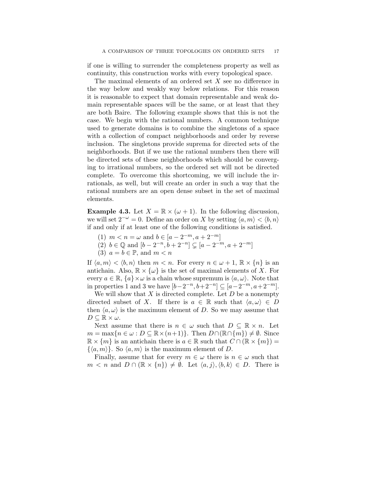if one is willing to surrender the completeness property as well as continuity, this construction works with every topological space.

The maximal elements of an ordered set X see no difference in the way below and weakly way below relations. For this reason it is reasonable to expect that domain representable and weak domain representable spaces will be the same, or at least that they are both Baire. The following example shows that this is not the case. We begin with the rational numbers. A common technique used to generate domains is to combine the singletons of a space with a collection of compact neighborhoods and order by reverse inclusion. The singletons provide suprema for directed sets of the neighborhoods. But if we use the rational numbers then there will be directed sets of these neighborhoods which should be converging to irrational numbers, so the ordered set will not be directed complete. To overcome this shortcoming, we will include the irrationals, as well, but will create an order in such a way that the rational numbers are an open dense subset in the set of maximal elements.

**Example 4.3.** Let  $X = \mathbb{R} \times (\omega + 1)$ . In the following discussion, we will set  $2^{-\omega} = 0$ . Define an order on X by setting  $\langle a, m \rangle < \langle b, n \rangle$ if and only if at least one of the following conditions is satisfied.

- (1)  $m < n = \omega$  and  $b \in [a 2^{-m}, a + 2^{-m}]$
- (2) *b* ∈ ℚ and  $[b 2^{-n}, b + 2^{-n}]$  ⊆  $[a 2^{-m}, a + 2^{-m}]$
- (3)  $a = b \in \mathbb{P}$ , and  $m < n$

If  $\langle a, m \rangle < \langle b, n \rangle$  then  $m < n$ . For every  $n \in \omega + 1$ ,  $\mathbb{R} \times \{n\}$  is an antichain. Also,  $\mathbb{R} \times {\omega}$  is the set of maximal elements of X. For every  $a \in \mathbb{R}, \{a\} \times \omega$  is a chain whose supremum is  $\langle a, \omega \rangle$ . Note that in properties 1 and 3 we have  $[b-2^{-n}, b+2^{-n}]$  ⊆  $[a-2^{-m}, a+2^{-m}]$ .

We will show that  $X$  is directed complete. Let  $D$  be a nonempty directed subset of X. If there is  $a \in \mathbb{R}$  such that  $\langle a, \omega \rangle \in D$ then  $\langle a, \omega \rangle$  is the maximum element of D. So we may assume that  $D \subseteq \mathbb{R} \times \omega$ .

Next assume that there is  $n \in \omega$  such that  $D \subseteq \mathbb{R} \times n$ . Let  $m = \max\{n \in \omega : D \subseteq \mathbb{R} \times (n+1)\}\.$  Then  $D \cap (\mathbb{R} \cap \{m\}) \neq \emptyset$ . Since  $\mathbb{R} \times \{m\}$  is an antichain there is  $a \in \mathbb{R}$  such that  $C \cap (\mathbb{R} \times \{m\}) =$  $\{\langle a, m \rangle\}$ . So  $\langle a, m \rangle$  is the maximum element of D.

Finally, assume that for every  $m \in \omega$  there is  $n \in \omega$  such that  $m < n$  and  $D \cap (\mathbb{R} \times \{n\}) \neq \emptyset$ . Let  $\langle a, j \rangle, \langle b, k \rangle \in D$ . There is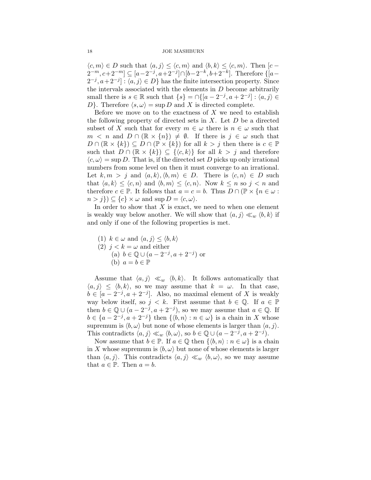#### 18 JOE MASHBURN

 $\langle c, m \rangle \in D$  such that  $\langle a, j \rangle \leq \langle c, m \rangle$  and  $\langle b, k \rangle \leq \langle c, m \rangle$ . Then  $[c -]$  $2^{-m}, c+2^{-m}$ ] ⊆ [a−2<sup>-j</sup>, a+2<sup>-j</sup>]∩[b−2<sup>-k</sup>, b+2<sup>-k</sup>]. Therefore {[a−  $2^{-j}, a+2^{-j}$ :  $\langle a, j \rangle \in D$ } has the finite intersection property. Since the intervals associated with the elements in  $D$  become arbitrarily small there is  $s \in \mathbb{R}$  such that  $\{s\} = \cap \{[a-2^{-j}, a+2^{-j}] : \langle a, j \rangle \in$ D. Therefore  $\langle s, \omega \rangle = \sup D$  and X is directed complete.

Before we move on to the exactness of  $X$  we need to establish the following property of directed sets in  $X$ . Let  $D$  be a directed subset of X such that for every  $m \in \omega$  there is  $n \in \omega$  such that  $m < n$  and  $D \cap (\mathbb{R} \times \{n\}) \neq \emptyset$ . If there is  $j \in \omega$  such that  $D \cap (\mathbb{R} \times \{k\}) \subseteq D \cap (\mathbb{P} \times \{k\})$  for all  $k > j$  then there is  $c \in \mathbb{P}$ such that  $D \cap (\mathbb{R} \times \{k\}) \subseteq {\langle \langle c, k \rangle \}$  for all  $k > j$  and therefore  $\langle c, \omega \rangle$  = sup D. That is, if the directed set D picks up only irrational numbers from some level on then it must converge to an irrational. Let  $k, m > j$  and  $\langle a, k \rangle, \langle b, m \rangle \in D$ . There is  $\langle c, n \rangle \in D$  such that  $\langle a, k \rangle \leq \langle c, n \rangle$  and  $\langle b, m \rangle \leq \langle c, n \rangle$ . Now  $k \leq n$  so  $j < n$  and therefore  $c \in \mathbb{P}$ . It follows that  $a = c = b$ . Thus  $D \cap (\mathbb{P} \times \{n \in \omega :$  $n > j$ )  $\subseteq \{c\} \times \omega$  and sup  $D = \langle c, \omega \rangle$ .

In order to show that  $X$  is exact, we need to when one element is weakly way below another. We will show that  $\langle a, j \rangle \ll_w \langle b, k \rangle$  if and only if one of the following properties is met.

(1) 
$$
k \in \omega
$$
 and  $\langle a, j \rangle \le \langle b, k \rangle$   
(2)  $j < k = \omega$  and either  
(a)  $b \in \mathbb{Q} \cup (a - 2^{-j}, a + 2^{-j})$  or  
(b)  $a = b \in \mathbb{P}$ 

Assume that  $\langle a, j \rangle \ll_w \langle b, k \rangle$ . It follows automatically that  $\langle a, j \rangle \leq \langle b, k \rangle$ , so we may assume that  $k = \omega$ . In that case,  $b \in [a-2^{-j}, a+2^{-j}]$ . Also, no maximal element of X is weakly way below itself, so  $j < k$ . First assume that  $b \in \mathbb{Q}$ . If  $a \in \mathbb{P}$ then  $b \in \mathbb{Q} \cup (a - 2^{-j}, a + 2^{-j}),$  so we may assume that  $a \in \mathbb{Q}$ . If  $b \in \{a-2^{-j}, a+2^{-j}\}\$  then  $\{\langle b,n \rangle : n \in \omega\}$  is a chain in X whose supremum is  $\langle b, \omega \rangle$  but none of whose elements is larger than  $\langle a, j \rangle$ . This contradicts  $\langle a, j \rangle \ll_w \langle b, \omega \rangle$ , so  $b \in \mathbb{Q} \cup (a - 2^{-j}, a + 2^{-j}).$ 

Now assume that  $b \in \mathbb{P}$ . If  $a \in \mathbb{Q}$  then  $\{\langle b, n \rangle : n \in \omega\}$  is a chain in X whose supremum is  $\langle b, \omega \rangle$  but none of whose elements is larger than  $\langle a, j \rangle$ . This contradicts  $\langle a, j \rangle \ll_w \langle b, \omega \rangle$ , so we may assume that  $a \in \mathbb{P}$ . Then  $a = b$ .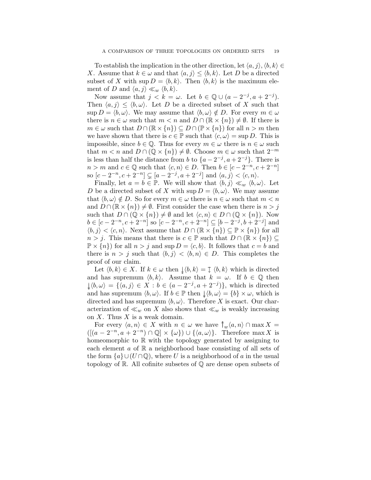To establish the implication in the other direction, let  $\langle a, j \rangle, \langle b, k \rangle \in$ X. Assume that  $k \in \omega$  and that  $\langle a, j \rangle \leq \langle b, k \rangle$ . Let D be a directed subset of X with  $\sup D = \langle b, k \rangle$ . Then  $\langle b, k \rangle$  is the maximum element of D and  $\langle a, j \rangle \ll_w \langle b, k \rangle$ .

Now assume that  $j < k = \omega$ . Let  $b \in \mathbb{Q} \cup (a - 2^{-j}, a + 2^{-j}).$ Then  $\langle a, j \rangle \leq \langle b, \omega \rangle$ . Let D be a directed subset of X such that  $\sup D = \langle b, \omega \rangle$ . We may assume that  $\langle b, \omega \rangle \notin D$ . For every  $m \in \omega$ there is  $n \in \omega$  such that  $m < n$  and  $D \cap (\mathbb{R} \times \{n\}) \neq \emptyset$ . If there is  $m \in \omega$  such that  $D \cap (\mathbb{R} \times \{n\}) \subseteq D \cap (\mathbb{P} \times \{n\})$  for all  $n > m$  then we have shown that there is  $c \in \mathbb{P}$  such that  $\langle c, \omega \rangle = \sup D$ . This is impossible, since  $b \in \mathbb{Q}$ . Thus for every  $m \in \omega$  there is  $n \in \omega$  such that  $m < n$  and  $D \cap (\mathbb{Q} \times \{n\}) \neq \emptyset$ . Choose  $m \in \omega$  such that  $2^{-m}$ is less than half the distance from b to  $\{a-2^{-j}, a+2^{-j}\}$ . There is  $n > m$  and  $c \in \mathbb{Q}$  such that  $\langle c, n \rangle \in D$ . Then  $b \in [c - 2^{-n}, c + 2^{-n}]$ so  $[c-2^{-n}, c+2^{-n}] \subsetneq [a-2^{-j}, a+2^{-j}]$  and  $\langle a, j \rangle < \langle c, n \rangle$ .

Finally, let  $a = b \in \mathbb{P}$ . We will show that  $\langle b, j \rangle \ll_w \langle b, \omega \rangle$ . Let D be a directed subset of X with  $\sup D = \langle b, \omega \rangle$ . We may assume that  $\langle b, \omega \rangle \notin D$ . So for every  $m \in \omega$  there is  $n \in \omega$  such that  $m < n$ and  $D \cap (\mathbb{R} \times \{n\}) \neq \emptyset$ . First consider the case when there is  $n > j$ such that  $D \cap (\mathbb{Q} \times \{n\}) \neq \emptyset$  and let  $\langle c, n \rangle \in D \cap (\mathbb{Q} \times \{n\})$ . Now  $b \in [c-2^{-n}, c+2^{-n}]$  so  $[c-2^{-n}, c+2^{-n}] \subseteq [b-2^{-j}, b+2^{-j}]$  and  $\langle b, j \rangle < \langle c, n \rangle$ . Next assume that  $D \cap (\mathbb{R} \times \{n\}) \subseteq \mathbb{P} \times \{n\})$  for all  $n > j$ . This means that there is  $c \in \mathbb{P}$  such that  $D \cap (\mathbb{R} \times \{n\}) \subseteq$  $\mathbb{P} \times \{n\}$  for all  $n > j$  and sup  $D = \langle c, b \rangle$ . It follows that  $c = b$  and there is  $n > j$  such that  $\langle b, j \rangle < \langle b, n \rangle \in D$ . This completes the proof of our claim.

Let  $\langle b, k \rangle \in X$ . If  $k \in \omega$  then  $\downarrow \langle b, k \rangle = \downarrow \langle b, k \rangle$  which is directed and has supremum  $\langle b, k \rangle$ . Assume that  $k = \omega$ . If  $b \in \mathbb{Q}$  then  $\downarrow \langle b, \omega \rangle = \{ \langle a, j \rangle \in X : b \in (a - 2^{-j}, a + 2^{-j}) \},\$  which is directed and has supremum  $\langle b, \omega \rangle$ . If  $b \in \mathbb{P}$  then  $\downarrow \langle b, \omega \rangle = \{b\} \times \omega$ , which is directed and has supremum  $\langle b, \omega \rangle$ . Therefore X is exact. Our characterization of  $\ll_w$  on X also shows that  $\ll_w$  is weakly increasing on  $X$ . Thus  $X$  is a weak domain.

For every  $\langle a, n \rangle \in X$  with  $n \in \omega$  we have  $\hat{\uparrow}_w \langle a, n \rangle \cap \max X =$  $([ (a - 2^{-n}, a + 2^{-n}) \cap \mathbb{Q}] \times \{\omega\}) \cup \{\langle a, \omega \rangle\}.$  Therefore max X is homeomorphic to  $\mathbb R$  with the topology generated by assigning to each element  $\alpha$  of  $\mathbb R$  a neighborhood base consisting of all sets of the form  $\{a\} \cup (U \cap \mathbb{Q})$ , where U is a neighborhood of a in the usual topology of R. All cofinite subsetes of Q are dense open subsets of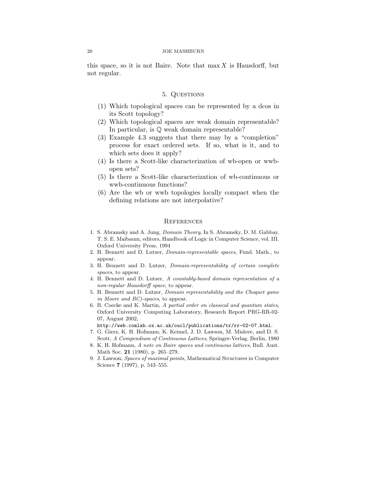this space, so it is not Baire. Note that  $\max X$  is Hausdorff, but not regular.

## 5. Questions

- (1) Which topological spaces can be represented by a dcos in its Scott topology?
- (2) Which topological spaces are weak domain representable? In particular, is Q weak domain representable?
- (3) Example 4.3 suggests that there may by a "completion" process for exact ordered sets. If so, what is it, and to which sets does it apply?
- (4) Is there a Scott-like characterization of wb-open or wwbopen sets?
- (5) Is there a Scott-like characterization of wb-continuous or wwb-continuous functions?
- (6) Are the wb or wwb topologies locally compact when the defining relations are not interpolative?

#### **REFERENCES**

- 1. S. Abramsky and A. Jung, Domain Theory, In S. Abramsky, D. M. Gabbay, T. S. E. Maibaum, editors, Handbook of Logic in Computer Science, vol. III. Oxford University Press, 1994
- 2. H. Bennett and D. Lutzer, Domain-representable spaces, Fund. Math., to appear.
- 3. H. Bennett and D. Lutzer, Domain-representability of certain complete spaces, to appear.
- 4. H. Bennett and D. Lutzer, A countably-based domain representation of a non-regular Hausdorff space, to appear.
- 5. H. Bennett and D. Lutzer, Domain representability and the Choquet game in Moore and BC)-spaces, to appear.
- 6. B. Coecke and K. Martin, A partial order on classical and quantum states, Oxford University Computing Laboratory, Research Report PRG-RR-02- 07, August 2002,

http://web.comlab.ox.ac.uk/oucl/publications/tr/rr-02-07.html.

- 7. G. Gierz, K. H. Hofmann, K. Keimel, J. D. Lawson, M. Mislove, and D. S. Scott, A Compendium of Continuous Lattices, Springer-Verlag, Berlin, 1980
- 8. K. H. Hofmann, A note on Baire spaces and continuous lattices, Bull. Aust. Math Soc. 21 (1980), p. 265–279.
- 9. J. Lawson, Spaces of maximal points, Mathematical Structures in Computer Science 7 (1997), p. 543–555.